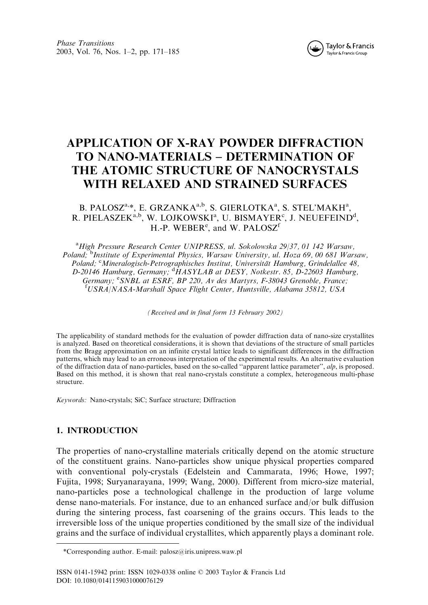

# APPLICATION OF X-RAY POWDER DIFFRACTION TO NANO-MATERIALS – DETERMINATION OF THE ATOMIC STRUCTURE OF NANOCRYSTALS WITH RELAXED AND STRAINED SURFACES

# B. PALOSZ<sup>a,\*</sup>, E. GRZANKA<sup>a,b</sup>, S. GIERLOTKA<sup>a</sup>, S. STEL'MAKH<sup>a</sup>, R. PIELASZEK<sup>a,b</sup>, W. LOJKOWSKI<sup>a</sup>, U. BISMAYER<sup>c</sup>, J. NEUEFEIND<sup>d</sup>, H.-P. WEBER<sup>e</sup>, and W. PALOSZ<sup>f</sup>

<sup>a</sup> High Pressure Research Center UNIPRESS, ul. Sokolowska 29/37, 01 142 Warsaw, Poland; <sup>b</sup>Institute of Experimental Physics, Warsaw University, ul. Hoza 69, 00 681 Warsaw, Poland; <sup>c</sup>Mineralogisch-Petrographisches Institut, Universität Hamburg, Grindelallee 48, D-20146 Hamburg, Germany, <sup>d</sup>HASYLAB at DESY, Notkestr. 85, D-22603 Hamburg, Germany; <sup>e</sup>SNBL at ESRF, BP 220, Av des Martyrs, F-38043 Grenoble, France;<br><sup>f</sup>USP 4/NASA Marshall Space Flight Center, Huntsville, Alghama 35812, USA USRA/NASA-Marshall Space Flight Center, Huntsville, Alabama 35812, USA

(Received and in final form 13 February 2002)

The applicability of standard methods for the evaluation of powder diffraction data of nano-size crystallites is analyzed. Based on theoretical considerations, it is shown that deviations of the structure of small particles from the Bragg approximation on an infinite crystal lattice leads to significant differences in the diffraction patterns, which may lead to an erroneous interpretation of the experimental results. An alternative evaluation of the diffraction data of nano-particles, based on the so-called ''apparent lattice parameter'', alp, is proposed. Based on this method, it is shown that real nano-crystals constitute a complex, heterogeneous multi-phase structure.

Keywords: Nano-crystals; SiC; Surface structure; Diffraction

# 1. INTRODUCTION

The properties of nano-crystalline materials critically depend on the atomic structure of the constituent grains. Nano-particles show unique physical properties compared with conventional poly-crystals (Edelstein and Cammarata, 1996; Howe, 1997; Fujita, 1998; Suryanarayana, 1999; Wang, 2000). Different from micro-size material, nano-particles pose a technological challenge in the production of large volume dense nano-materials. For instance, due to an enhanced surface and/or bulk diffusion during the sintering process, fast coarsening of the grains occurs. This leads to the irreversible loss of the unique properties conditioned by the small size of the individual grains and the surface of individual crystallites, which apparently plays a dominant role.

<sup>\*</sup>Corresponding author. E-mail: palosz@iris.unipress.waw.pl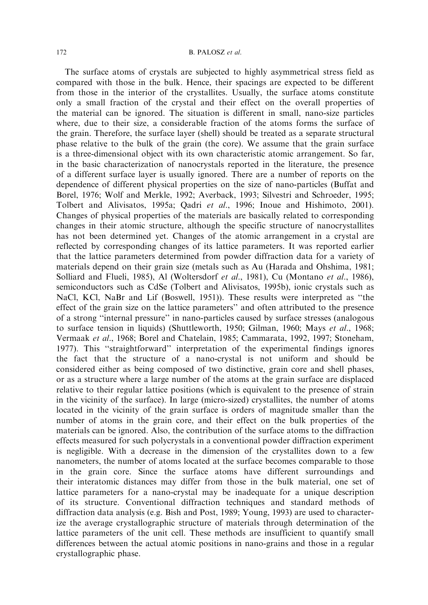The surface atoms of crystals are subjected to highly asymmetrical stress field as compared with those in the bulk. Hence, their spacings are expected to be different from those in the interior of the crystallites. Usually, the surface atoms constitute only a small fraction of the crystal and their effect on the overall properties of the material can be ignored. The situation is different in small, nano-size particles where, due to their size, a considerable fraction of the atoms forms the surface of the grain. Therefore, the surface layer (shell) should be treated as a separate structural phase relative to the bulk of the grain (the core). We assume that the grain surface is a three-dimensional object with its own characteristic atomic arrangement. So far, in the basic characterization of nanocrystals reported in the literature, the presence of a different surface layer is usually ignored. There are a number of reports on the dependence of different physical properties on the size of nano-particles (Buffat and Borel, 1976; Wolf and Merkle, 1992; Averback, 1993; Silvestri and Schroeder, 1995; Tolbert and Alivisatos, 1995a; Qadri et al., 1996; Inoue and Hishimoto, 2001). Changes of physical properties of the materials are basically related to corresponding changes in their atomic structure, although the specific structure of nanocrystallites has not been determined yet. Changes of the atomic arrangement in a crystal are reflected by corresponding changes of its lattice parameters. It was reported earlier that the lattice parameters determined from powder diffraction data for a variety of materials depend on their grain size (metals such as Au (Harada and Ohshima, 1981; Solliard and Flueli, 1985), Al (Woltersdorf et al., 1981), Cu (Montano et al., 1986), semiconductors such as CdSe (Tolbert and Alivisatos, 1995b), ionic crystals such as NaCl, KCl, NaBr and Lif (Boswell, 1951)). These results were interpreted as ''the effect of the grain size on the lattice parameters'' and often attributed to the presence of a strong ''internal pressure'' in nano-particles caused by surface stresses (analogous to surface tension in liquids) (Shuttleworth, 1950; Gilman, 1960; Mays et al., 1968; Vermaak et al., 1968; Borel and Chatelain, 1985; Cammarata, 1992, 1997; Stoneham, 1977). This ''straightforward'' interpretation of the experimental findings ignores the fact that the structure of a nano-crystal is not uniform and should be considered either as being composed of two distinctive, grain core and shell phases, or as a structure where a large number of the atoms at the grain surface are displaced relative to their regular lattice positions (which is equivalent to the presence of strain in the vicinity of the surface). In large (micro-sized) crystallites, the number of atoms located in the vicinity of the grain surface is orders of magnitude smaller than the number of atoms in the grain core, and their effect on the bulk properties of the materials can be ignored. Also, the contribution of the surface atoms to the diffraction effects measured for such polycrystals in a conventional powder diffraction experiment is negligible. With a decrease in the dimension of the crystallites down to a few nanometers, the number of atoms located at the surface becomes comparable to those in the grain core. Since the surface atoms have different surroundings and their interatomic distances may differ from those in the bulk material, one set of lattice parameters for a nano-crystal may be inadequate for a unique description of its structure. Conventional diffraction techniques and standard methods of diffraction data analysis (e.g. Bish and Post, 1989; Young, 1993) are used to characterize the average crystallographic structure of materials through determination of the lattice parameters of the unit cell. These methods are insufficient to quantify small differences between the actual atomic positions in nano-grains and those in a regular crystallographic phase.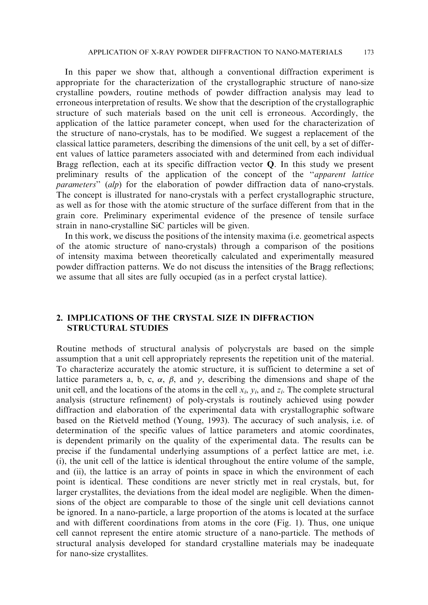In this paper we show that, although a conventional diffraction experiment is appropriate for the characterization of the crystallographic structure of nano-size crystalline powders, routine methods of powder diffraction analysis may lead to erroneous interpretation of results. We show that the description of the crystallographic structure of such materials based on the unit cell is erroneous. Accordingly, the application of the lattice parameter concept, when used for the characterization of the structure of nano-crystals, has to be modified. We suggest a replacement of the classical lattice parameters, describing the dimensions of the unit cell, by a set of different values of lattice parameters associated with and determined from each individual Bragg reflection, each at its specific diffraction vector Q. In this study we present preliminary results of the application of the concept of the ''apparent lattice parameters" (alp) for the elaboration of powder diffraction data of nano-crystals. The concept is illustrated for nano-crystals with a perfect crystallographic structure, as well as for those with the atomic structure of the surface different from that in the grain core. Preliminary experimental evidence of the presence of tensile surface strain in nano-crystalline SiC particles will be given.

In this work, we discuss the positions of the intensity maxima (i.e. geometrical aspects of the atomic structure of nano-crystals) through a comparison of the positions of intensity maxima between theoretically calculated and experimentally measured powder diffraction patterns. We do not discuss the intensities of the Bragg reflections; we assume that all sites are fully occupied (as in a perfect crystal lattice).

# 2. IMPLICATIONS OF THE CRYSTAL SIZE IN DIFFRACTION STRUCTURAL STUDIES

Routine methods of structural analysis of polycrystals are based on the simple assumption that a unit cell appropriately represents the repetition unit of the material. To characterize accurately the atomic structure, it is sufficient to determine a set of lattice parameters a, b, c,  $\alpha$ ,  $\beta$ , and  $\gamma$ , describing the dimensions and shape of the unit cell, and the locations of the atoms in the cell  $x_i$ ,  $y_i$ , and  $z_i$ . The complete structural analysis (structure refinement) of poly-crystals is routinely achieved using powder diffraction and elaboration of the experimental data with crystallographic software based on the Rietveld method (Young, 1993). The accuracy of such analysis, i.e. of determination of the specific values of lattice parameters and atomic coordinates, is dependent primarily on the quality of the experimental data. The results can be precise if the fundamental underlying assumptions of a perfect lattice are met, i.e. (i), the unit cell of the lattice is identical throughout the entire volume of the sample, and (ii), the lattice is an array of points in space in which the environment of each point is identical. These conditions are never strictly met in real crystals, but, for larger crystallites, the deviations from the ideal model are negligible. When the dimensions of the object are comparable to those of the single unit cell deviations cannot be ignored. In a nano-particle, a large proportion of the atoms is located at the surface and with different coordinations from atoms in the core (Fig. 1). Thus, one unique cell cannot represent the entire atomic structure of a nano-particle. The methods of structural analysis developed for standard crystalline materials may be inadequate for nano-size crystallites.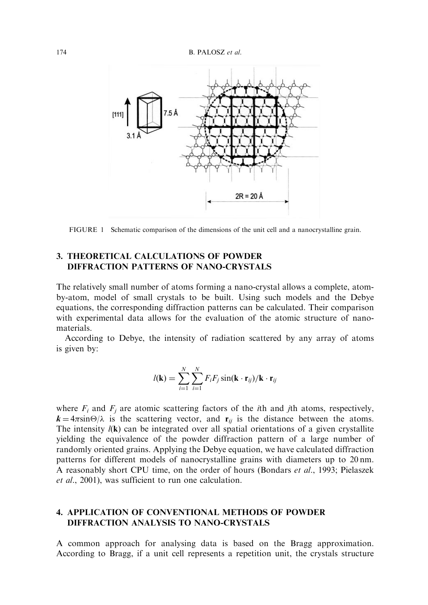

FIGURE 1 Schematic comparison of the dimensions of the unit cell and a nanocrystalline grain.

# 3. THEORETICAL CALCULATIONS OF POWDER DIFFRACTION PATTERNS OF NANO-CRYSTALS

The relatively small number of atoms forming a nano-crystal allows a complete, atomby-atom, model of small crystals to be built. Using such models and the Debye equations, the corresponding diffraction patterns can be calculated. Their comparison with experimental data allows for the evaluation of the atomic structure of nanomaterials.

According to Debye, the intensity of radiation scattered by any array of atoms is given by:

$$
l(\mathbf{k}) = \sum_{i=1}^{N} \sum_{i=1}^{N} F_i F_j \sin(\mathbf{k} \cdot \mathbf{r}_{ij}) / \mathbf{k} \cdot \mathbf{r}_{ij}
$$

where  $F_i$  and  $F_j$  are atomic scattering factors of the *i*th and *j*th atoms, respectively,  $k = 4\pi \sin{\Theta/\lambda}$  is the scattering vector, and  $\mathbf{r}_{ij}$  is the distance between the atoms. The intensity  $l(\mathbf{k})$  can be integrated over all spatial orientations of a given crystallite yielding the equivalence of the powder diffraction pattern of a large number of randomly oriented grains. Applying the Debye equation, we have calculated diffraction patterns for different models of nanocrystalline grains with diameters up to 20 nm. A reasonably short CPU time, on the order of hours (Bondars et al., 1993; Pielaszek et al., 2001), was sufficient to run one calculation.

### 4. APPLICATION OF CONVENTIONAL METHODS OF POWDER DIFFRACTION ANALYSIS TO NANO-CRYSTALS

A common approach for analysing data is based on the Bragg approximation. According to Bragg, if a unit cell represents a repetition unit, the crystals structure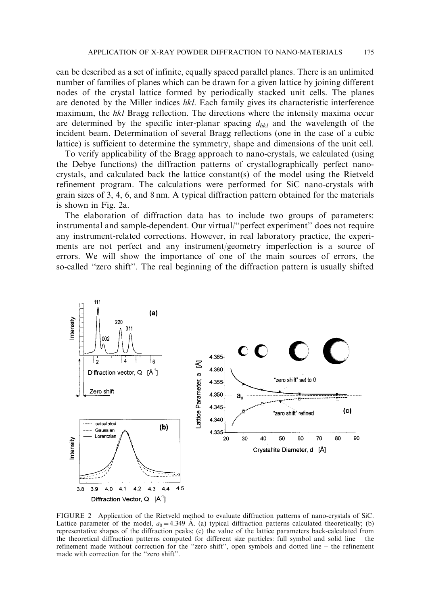can be described as a set of infinite, equally spaced parallel planes. There is an unlimited number of families of planes which can be drawn for a given lattice by joining different nodes of the crystal lattice formed by periodically stacked unit cells. The planes are denoted by the Miller indices hkl. Each family gives its characteristic interference maximum, the hkl Bragg reflection. The directions where the intensity maxima occur are determined by the specific inter-planar spacing  $d_{hkl}$  and the wavelength of the incident beam. Determination of several Bragg reflections (one in the case of a cubic lattice) is sufficient to determine the symmetry, shape and dimensions of the unit cell.

To verify applicability of the Bragg approach to nano-crystals, we calculated (using the Debye functions) the diffraction patterns of crystallographically perfect nanocrystals, and calculated back the lattice constant(s) of the model using the Rietveld refinement program. The calculations were performed for SiC nano-crystals with grain sizes of 3, 4, 6, and 8 nm. A typical diffraction pattern obtained for the materials is shown in Fig. 2a.

The elaboration of diffraction data has to include two groups of parameters: instrumental and sample-dependent. Our virtual/''perfect experiment'' does not require any instrument-related corrections. However, in real laboratory practice, the experiments are not perfect and any instrument/geometry imperfection is a source of errors. We will show the importance of one of the main sources of errors, the so-called ''zero shift''. The real beginning of the diffraction pattern is usually shifted



FIGURE 2 Application of the Rietveld method to evaluate diffraction patterns of nano-crystals of SiC. Lattice parameter of the model,  $a_0 = 4.349 \text{ Å}$ . (a) typical diffraction patterns calculated theoretically; (b) representative shapes of the diffraction peaks; (c) the value of the lattice parameters back-calculated from the theoretical diffraction patterns computed for different size particles: full symbol and solid line – the refinement made without correction for the ''zero shift'', open symbols and dotted line – the refinement made with correction for the ''zero shift''.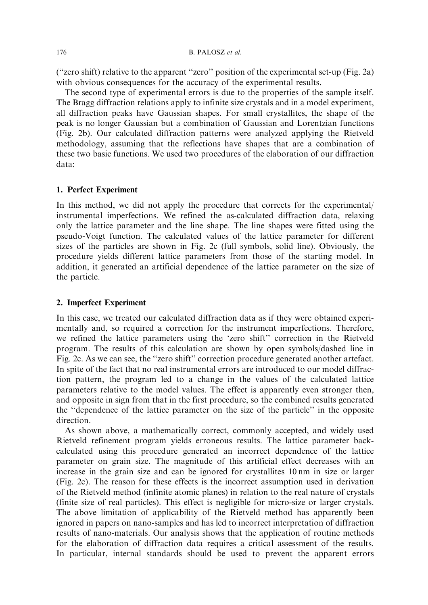(''zero shift) relative to the apparent ''zero'' position of the experimental set-up (Fig. 2a) with obvious consequences for the accuracy of the experimental results.

The second type of experimental errors is due to the properties of the sample itself. The Bragg diffraction relations apply to infinite size crystals and in a model experiment, all diffraction peaks have Gaussian shapes. For small crystallites, the shape of the peak is no longer Gaussian but a combination of Gaussian and Lorentzian functions (Fig. 2b). Our calculated diffraction patterns were analyzed applying the Rietveld methodology, assuming that the reflections have shapes that are a combination of these two basic functions. We used two procedures of the elaboration of our diffraction data:

#### 1. Perfect Experiment

In this method, we did not apply the procedure that corrects for the experimental/ instrumental imperfections. We refined the as-calculated diffraction data, relaxing only the lattice parameter and the line shape. The line shapes were fitted using the pseudo-Voigt function. The calculated values of the lattice parameter for different sizes of the particles are shown in Fig. 2c (full symbols, solid line). Obviously, the procedure yields different lattice parameters from those of the starting model. In addition, it generated an artificial dependence of the lattice parameter on the size of the particle.

### 2. Imperfect Experiment

In this case, we treated our calculated diffraction data as if they were obtained experimentally and, so required a correction for the instrument imperfections. Therefore, we refined the lattice parameters using the 'zero shift'' correction in the Rietveld program. The results of this calculation are shown by open symbols/dashed line in Fig. 2c. As we can see, the ''zero shift'' correction procedure generated another artefact. In spite of the fact that no real instrumental errors are introduced to our model diffraction pattern, the program led to a change in the values of the calculated lattice parameters relative to the model values. The effect is apparently even stronger then, and opposite in sign from that in the first procedure, so the combined results generated the ''dependence of the lattice parameter on the size of the particle'' in the opposite direction.

As shown above, a mathematically correct, commonly accepted, and widely used Rietveld refinement program yields erroneous results. The lattice parameter backcalculated using this procedure generated an incorrect dependence of the lattice parameter on grain size. The magnitude of this artificial effect decreases with an increase in the grain size and can be ignored for crystallites 10 nm in size or larger (Fig. 2c). The reason for these effects is the incorrect assumption used in derivation of the Rietveld method (infinite atomic planes) in relation to the real nature of crystals (finite size of real particles). This effect is negligible for micro-size or larger crystals. The above limitation of applicability of the Rietveld method has apparently been ignored in papers on nano-samples and has led to incorrect interpretation of diffraction results of nano-materials. Our analysis shows that the application of routine methods for the elaboration of diffraction data requires a critical assessment of the results. In particular, internal standards should be used to prevent the apparent errors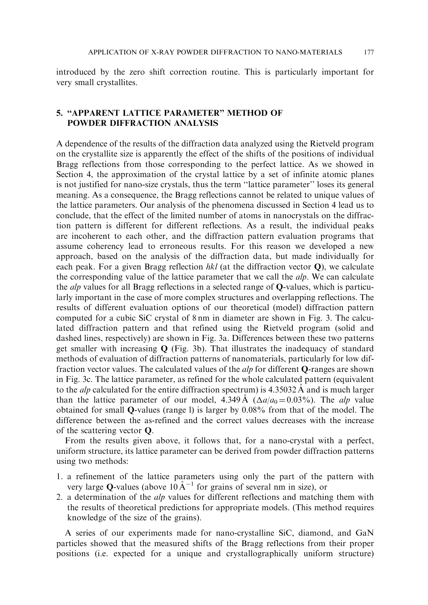introduced by the zero shift correction routine. This is particularly important for very small crystallites.

# 5. ''APPARENT LATTICE PARAMETER'' METHOD OF POWDER DIFFRACTION ANALYSIS

A dependence of the results of the diffraction data analyzed using the Rietveld program on the crystallite size is apparently the effect of the shifts of the positions of individual Bragg reflections from those corresponding to the perfect lattice. As we showed in Section 4, the approximation of the crystal lattice by a set of infinite atomic planes is not justified for nano-size crystals, thus the term ''lattice parameter'' loses its general meaning. As a consequence, the Bragg reflections cannot be related to unique values of the lattice parameters. Our analysis of the phenomena discussed in Section 4 lead us to conclude, that the effect of the limited number of atoms in nanocrystals on the diffraction pattern is different for different reflections. As a result, the individual peaks are incoherent to each other, and the diffraction pattern evaluation programs that assume coherency lead to erroneous results. For this reason we developed a new approach, based on the analysis of the diffraction data, but made individually for each peak. For a given Bragg reflection  $hkl$  (at the diffraction vector  $\bf{Q}$ ), we calculate the corresponding value of the lattice parameter that we call the  $a/p$ . We can calculate the *alp* values for all Bragg reflections in a selected range of  $Q$ -values, which is particularly important in the case of more complex structures and overlapping reflections. The results of different evaluation options of our theoretical (model) diffraction pattern computed for a cubic SiC crystal of 8 nm in diameter are shown in Fig. 3. The calculated diffraction pattern and that refined using the Rietveld program (solid and dashed lines, respectively) are shown in Fig. 3a. Differences between these two patterns get smaller with increasing  $\bf{O}$  (Fig. 3b). That illustrates the inadequacy of standard methods of evaluation of diffraction patterns of nanomaterials, particularly for low diffraction vector values. The calculated values of the *alp* for different **O**-ranges are shown in Fig. 3c. The lattice parameter, as refined for the whole calculated pattern (equivalent to the *alp* calculated for the entire diffraction spectrum) is  $4.35032 \text{ Å}$  and is much larger than the lattice parameter of our model,  $4.349 \text{ Å } (\Delta a/a_0 = 0.03\%)$ . The *alp* value obtained for small Q-values (range l) is larger by 0.08% from that of the model. The difference between the as-refined and the correct values decreases with the increase of the scattering vector Q.

From the results given above, it follows that, for a nano-crystal with a perfect, uniform structure, its lattice parameter can be derived from powder diffraction patterns using two methods:

- 1. a refinement of the lattice parameters using only the part of the pattern with very large Q-values (above  $10 \text{ Å}^{-1}$  for grains of several nm in size), or
- 2. a determination of the alp values for different reflections and matching them with the results of theoretical predictions for appropriate models. (This method requires knowledge of the size of the grains).

A series of our experiments made for nano-crystalline SiC, diamond, and GaN particles showed that the measured shifts of the Bragg reflections from their proper positions (i.e. expected for a unique and crystallographically uniform structure)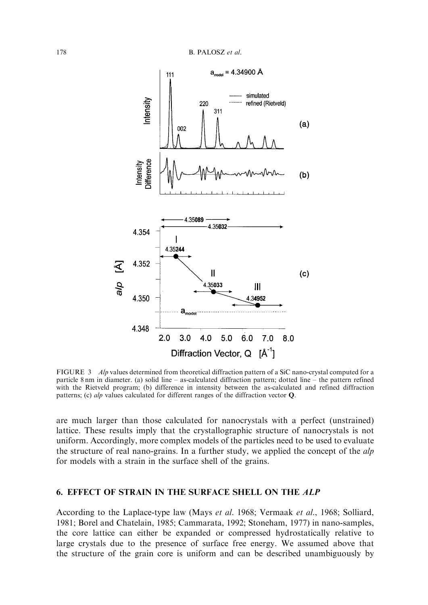

FIGURE 3 Alp values determined from theoretical diffraction pattern of a SiC nano-crystal computed for a particle 8 nm in diameter. (a) solid line – as-calculated diffraction pattern; dotted line – the pattern refined with the Rietveld program; (b) difference in intensity between the as-calculated and refined diffraction patterns; (c) alp values calculated for different ranges of the diffraction vector Q.

are much larger than those calculated for nanocrystals with a perfect (unstrained) lattice. These results imply that the crystallographic structure of nanocrystals is not uniform. Accordingly, more complex models of the particles need to be used to evaluate the structure of real nano-grains. In a further study, we applied the concept of the *alp* for models with a strain in the surface shell of the grains.

#### 6. EFFECT OF STRAIN IN THE SURFACE SHELL ON THE ALP

According to the Laplace-type law (Mays et al. 1968; Vermaak et al., 1968; Solliard, 1981; Borel and Chatelain, 1985; Cammarata, 1992; Stoneham, 1977) in nano-samples, the core lattice can either be expanded or compressed hydrostatically relative to large crystals due to the presence of surface free energy. We assumed above that the structure of the grain core is uniform and can be described unambiguously by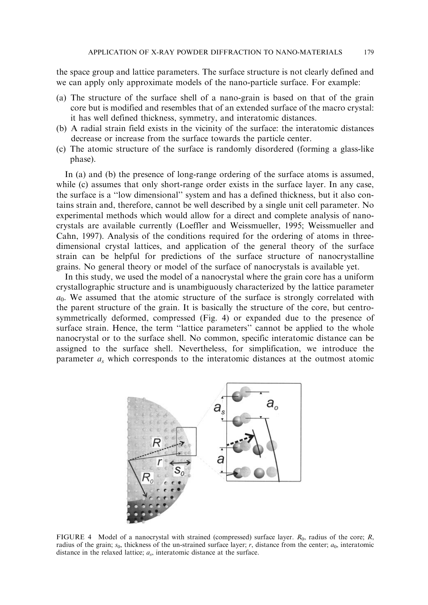the space group and lattice parameters. The surface structure is not clearly defined and we can apply only approximate models of the nano-particle surface. For example:

- (a) The structure of the surface shell of a nano-grain is based on that of the grain core but is modified and resembles that of an extended surface of the macro crystal: it has well defined thickness, symmetry, and interatomic distances.
- (b) A radial strain field exists in the vicinity of the surface: the interatomic distances decrease or increase from the surface towards the particle center.
- (c) The atomic structure of the surface is randomly disordered (forming a glass-like phase).

In (a) and (b) the presence of long-range ordering of the surface atoms is assumed, while (c) assumes that only short-range order exists in the surface layer. In any case, the surface is a ''low dimensional'' system and has a defined thickness, but it also contains strain and, therefore, cannot be well described by a single unit cell parameter. No experimental methods which would allow for a direct and complete analysis of nanocrystals are available currently (Loeffler and Weissmueller, 1995; Weissmueller and Cahn, 1997). Analysis of the conditions required for the ordering of atoms in threedimensional crystal lattices, and application of the general theory of the surface strain can be helpful for predictions of the surface structure of nanocrystalline grains. No general theory or model of the surface of nanocrystals is available yet.

In this study, we used the model of a nanocrystal where the grain core has a uniform crystallographic structure and is unambiguously characterized by the lattice parameter  $a<sub>0</sub>$ . We assumed that the atomic structure of the surface is strongly correlated with the parent structure of the grain. It is basically the structure of the core, but centrosymmetrically deformed, compressed (Fig. 4) or expanded due to the presence of surface strain. Hence, the term ''lattice parameters'' cannot be applied to the whole nanocrystal or to the surface shell. No common, specific interatomic distance can be assigned to the surface shell. Nevertheless, for simplification, we introduce the parameter  $a<sub>s</sub>$  which corresponds to the interatomic distances at the outmost atomic



FIGURE 4 Model of a nanocrystal with strained (compressed) surface layer.  $R_0$ , radius of the core;  $R$ , radius of the grain;  $s_0$ , thickness of the un-strained surface layer; r, distance from the center;  $a_0$ , interatomic distance in the relaxed lattice;  $a_s$ , interatomic distance at the surface.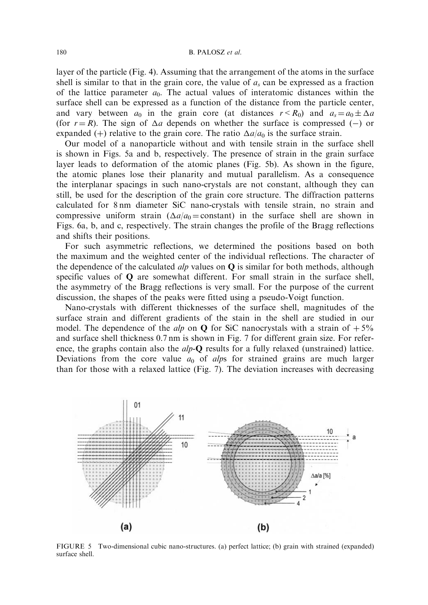#### 180 B. PALOSZ et al.

layer of the particle (Fig. 4). Assuming that the arrangement of the atoms in the surface shell is similar to that in the grain core, the value of  $a<sub>s</sub>$  can be expressed as a fraction of the lattice parameter  $a_0$ . The actual values of interatomic distances within the surface shell can be expressed as a function of the distance from the particle center, and vary between  $a_0$  in the grain core (at distances  $r < R_0$ ) and  $a_s = a_0 \pm \Delta a$ (for  $r = R$ ). The sign of  $\Delta a$  depends on whether the surface is compressed (-) or expanded (+) relative to the grain core. The ratio  $\Delta a/a_0$  is the surface strain.

Our model of a nanoparticle without and with tensile strain in the surface shell is shown in Figs. 5a and b, respectively. The presence of strain in the grain surface layer leads to deformation of the atomic planes (Fig. 5b). As shown in the figure, the atomic planes lose their planarity and mutual parallelism. As a consequence the interplanar spacings in such nano-crystals are not constant, although they can still, be used for the description of the grain core structure. The diffraction patterns calculated for 8 nm diameter SiC nano-crystals with tensile strain, no strain and compressive uniform strain  $(\Delta a/a_0 = \text{constant})$  in the surface shell are shown in Figs. 6a, b, and c, respectively. The strain changes the profile of the Bragg reflections and shifts their positions.

For such asymmetric reflections, we determined the positions based on both the maximum and the weighted center of the individual reflections. The character of the dependence of the calculated *alp* values on  $\bf{Q}$  is similar for both methods, although specific values of Q are somewhat different. For small strain in the surface shell, the asymmetry of the Bragg reflections is very small. For the purpose of the current discussion, the shapes of the peaks were fitted using a pseudo-Voigt function.

Nano-crystals with different thicknesses of the surface shell, magnitudes of the surface strain and different gradients of the stain in the shell are studied in our model. The dependence of the *alp* on **Q** for SiC nanocrystals with a strain of  $+5\%$ and surface shell thickness 0.7 nm is shown in Fig. 7 for different grain size. For reference, the graphs contain also the  $alp$ -Q results for a fully relaxed (unstrained) lattice. Deviations from the core value  $a_0$  of alps for strained grains are much larger than for those with a relaxed lattice (Fig. 7). The deviation increases with decreasing



FIGURE 5 Two-dimensional cubic nano-structures. (a) perfect lattice; (b) grain with strained (expanded) surface shell.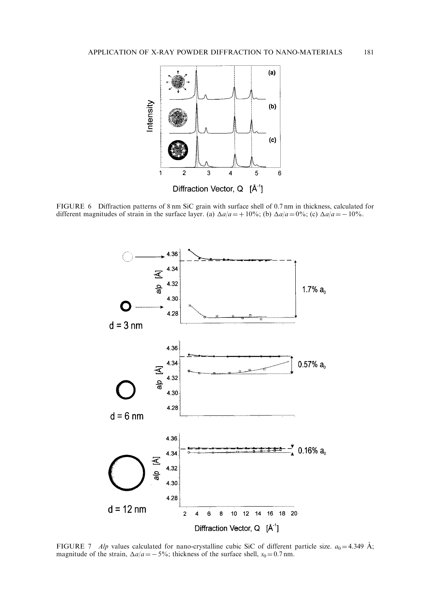

FIGURE 6 Diffraction patterns of 8 nm SiC grain with surface shell of 0.7 nm in thickness, calculated for different magnitudes of strain in the surface layer. (a)  $\Delta a/a = +10\%$ ; (b)  $\Delta a/a = 0\%$ ; (c)  $\Delta a/a = -10\%$ .



FIGURE 7 Alp values calculated for nano-crystalline cubic SiC of different particle size.  $a_0 = 4.349$  Å; magnitude of the strain,  $\Delta a/a = -5\%$ ; thickness of the surface shell,  $s_0 = 0.7$  nm.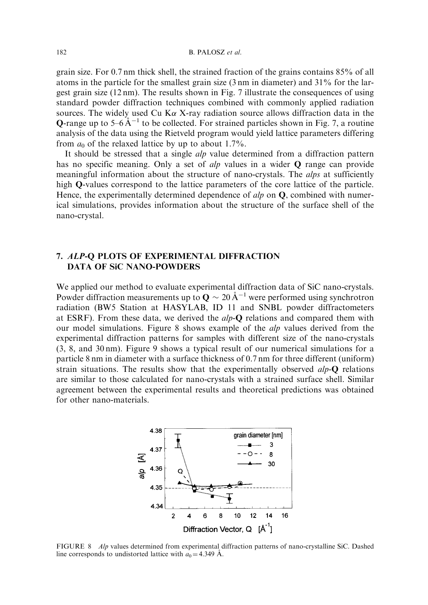grain size. For 0.7 nm thick shell, the strained fraction of the grains contains 85% of all atoms in the particle for the smallest grain size (3 nm in diameter) and 31% for the largest grain size (12 nm). The results shown in Fig. 7 illustrate the consequences of using standard powder diffraction techniques combined with commonly applied radiation sources. The widely used Cu K $\alpha$  X-ray radiation source allows diffraction data in the **O-range up to 5–6 Å**<sup> $-1$ </sup> to be collected. For strained particles shown in Fig. 7, a routine analysis of the data using the Rietveld program would yield lattice parameters differing from  $a_0$  of the relaxed lattice by up to about 1.7%.

It should be stressed that a single *alp* value determined from a diffraction pattern has no specific meaning. Only a set of *alp* values in a wider Q range can provide meaningful information about the structure of nano-crystals. The *alps* at sufficiently high Q-values correspond to the lattice parameters of the core lattice of the particle. Hence, the experimentally determined dependence of  $alp$  on  $\Omega$ , combined with numerical simulations, provides information about the structure of the surface shell of the nano-crystal.

### 7. ALP-Q PLOTS OF EXPERIMENTAL DIFFRACTION DATA OF SiC NANO-POWDERS

We applied our method to evaluate experimental diffraction data of SiC nano-crystals. Powder diffraction measurements up to  $\mathbf{Q} \sim 20 \,\mathrm{A}^{-1}$  were performed using synchrotron radiation (BW5 Station at HASYLAB, ID 11 and SNBL powder diffractometers at ESRF). From these data, we derived the  $alp$ -O relations and compared them with our model simulations. Figure 8 shows example of the *alp* values derived from the experimental diffraction patterns for samples with different size of the nano-crystals (3, 8, and 30 nm). Figure 9 shows a typical result of our numerical simulations for a particle 8 nm in diameter with a surface thickness of 0.7 nm for three different (uniform) strain situations. The results show that the experimentally observed  $alp$ -O relations are similar to those calculated for nano-crystals with a strained surface shell. Similar agreement between the experimental results and theoretical predictions was obtained for other nano-materials.



FIGURE 8 Alp values determined from experimental diffraction patterns of nano-crystalline SiC. Dashed line corresponds to undistorted lattice with  $a_0 = 4.349$  Å.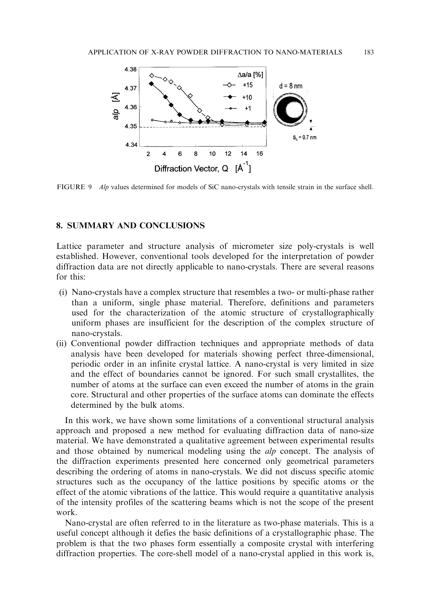

FIGURE 9 Alp values determined for models of SiC nano-crystals with tensile strain in the surface shell.

#### 8. SUMMARY AND CONCLUSIONS

Lattice parameter and structure analysis of micrometer size poly-crystals is well established. However, conventional tools developed for the interpretation of powder diffraction data are not directly applicable to nano-crystals. There are several reasons for this:

- (i) Nano-crystals have a complex structure that resembles a two- or multi-phase rather than a uniform, single phase material. Therefore, definitions and parameters used for the characterization of the atomic structure of crystallographically uniform phases are insufficient for the description of the complex structure of nano-crystals.
- (ii) Conventional powder diffraction techniques and appropriate methods of data analysis have been developed for materials showing perfect three-dimensional, periodic order in an infinite crystal lattice. A nano-crystal is very limited in size and the effect of boundaries cannot be ignored. For such small crystallites, the number of atoms at the surface can even exceed the number of atoms in the grain core. Structural and other properties of the surface atoms can dominate the effects determined by the bulk atoms.

In this work, we have shown some limitations of a conventional structural analysis approach and proposed a new method for evaluating diffraction data of nano-size material. We have demonstrated a qualitative agreement between experimental results and those obtained by numerical modeling using the alp concept. The analysis of the diffraction experiments presented here concerned only geometrical parameters describing the ordering of atoms in nano-crystals. We did not discuss specific atomic structures such as the occupancy of the lattice positions by specific atoms or the effect of the atomic vibrations of the lattice. This would require a quantitative analysis of the intensity profiles of the scattering beams which is not the scope of the present work.

Nano-crystal are often referred to in the literature as two-phase materials. This is a useful concept although it defies the basic definitions of a crystallographic phase. The problem is that the two phases form essentially a composite crystal with interfering diffraction properties. The core-shell model of a nano-crystal applied in this work is,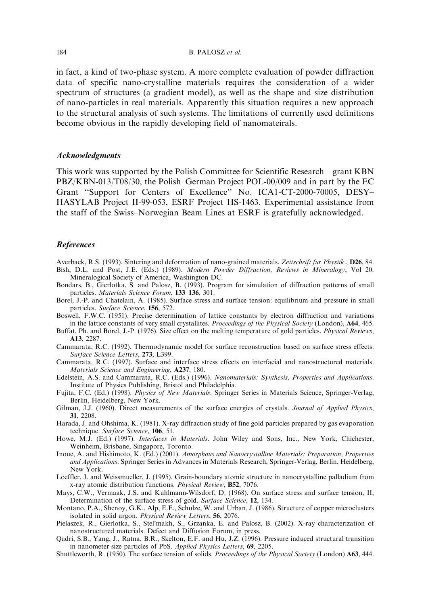#### 184 B. PALOSZ et al.

in fact, a kind of two-phase system. A more complete evaluation of powder diffraction data of specific nano-crystalline materials requires the consideration of a wider spectrum of structures (a gradient model), as well as the shape and size distribution of nano-particles in real materials. Apparently this situation requires a new approach to the structural analysis of such systems. The limitations of currently used definitions become obvious in the rapidly developing field of nanomateirals.

#### Acknowledgments

This work was supported by the Polish Committee for Scientific Research – grant KBN PBZ/KBN-013/T08/30, the Polish–German Project POL-00/009 and in part by the EC Grant ''Support for Centers of Excellence'' No. ICA1-CT-2000-70005, DESY– HASYLAB Project II-99-053, ESRF Project HS-1463. Experimental assistance from the staff of the Swiss–Norwegian Beam Lines at ESRF is gratefully acknowledged.

#### References

Averback, R.S. (1993). Sintering and deformation of nano-grained materials. Zeitschrift fur Physiik., D26, 84.

Bish, D.L. and Post, J.E. (Eds.) (1989). Modern Powder Diffraction, Reviews in Mineralogy, Vol 20. Mineralogical Society of America, Washington DC.

Bondars, B., Gierlotka, S. and Palosz, B. (1993). Program for simulation of diffraction patterns of small particles. Materials Science Forum, 133–136, 301.

Borel, J.-P. and Chatelain, A. (1985). Surface stress and surface tension: equilibrium and pressure in small particles. Surface Science, 156, 572.

Boswell, F.W.C. (1951). Precise determination of lattice constants by electron diffraction and variations in the lattice constants of very small crystallites. Proceedings of the Physical Society (London), A64, 465.

- Buffat, Ph. and Borel, J.-P. (1976). Size effect on the melting temperature of gold particles. Physical Reviews, A13, 2287.
- Cammarata, R.C. (1992). Thermodynamic model for surface reconstruction based on surface stress effects. Surface Science Letters, 273, L399.
- Cammarata, R.C. (1997). Surface and interface stress effects on interfacial and nanostructured materials. Materials Science and Engineering, A237, 180.

Edelstein, A.S. and Cammarata, R.C. (Eds.) (1996). Nanomaterials: Synthesis, Properties and Applications. Institute of Physics Publishing, Bristol and Philadelphia.

- Fujita, F.C. (Ed.) (1998). Physics of New Materials. Springer Series in Materials Science, Springer-Verlag, Berlin, Heidelberg, New York.
- Gilman, J.J. (1960). Direct measurements of the surface energies of crystals. Journal of Applied Physics, 31, 2208.
- Harada, J. and Ohshima, K. (1981). X-ray diffraction study of fine gold particles prepared by gas evaporation technique. Surface Science, 106, 51.
- Howe, M.J. (Ed.) (1997). Interfaces in Materials. John Wiley and Sons, Inc., New York, Chichester, Weinheim, Brisbane, Singapore, Toronto.
- Inoue, A. and Hishimoto, K. (Ed.) (2001). Amorphous and Nanocrystalline Materials: Preparation, Properties and Applications. Springer Series in Advances in Materials Research, Springer-Verlag, Berlin, Heidelberg, New York.
- Loeffler, J. and Weissmueller, J. (1995). Grain-boundary atomic structure in nanocrystalline palladium from x-ray atomic distribution functions. Physical Review, B52, 7076.
- Mays, C.W., Vermaak, J.S. and Kuhlmann-Wilsdorf, D. (1968). On surface stress and surface tension, II, Determination of the surface stress of gold. Surface Science, 12, 134.
- Montano, P.A., Shenoy, G.K., Alp, E.E., Schulze, W. and Urban, J. (1986). Structure of copper microclusters isolated in solid argon. Physical Review Letters, 56, 2076.
- Pielaszek, R., Gierlotka, S., Stel'makh, S., Grzanka, E. and Palosz, B. (2002). X-ray characterization of nanostructured materials. Defect and Diffusion Forum, in press.
- Qadri, S.B., Yang, J., Ratna, B.R., Skelton, E.F. and Hu, J.Z. (1996). Pressure induced structural transition in nanometer size particles of PbS. Applied Physics Letters, 69, 2205.
- Shuttleworth, R. (1950). The surface tension of solids. Proceedings of the Physical Society (London) A63, 444.